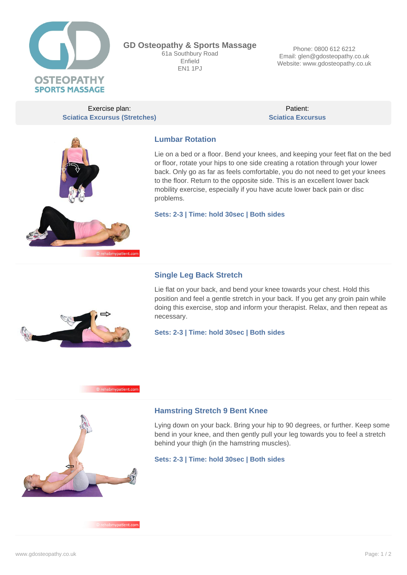

**GD Osteopathy & Sports Massage** 61a Southbury Road Enfield **EN1 1PJ** 

Phone: 0800 612 6212 Email: glen@gdosteopathy.co.uk Website: www.gdosteopathy.co.uk

Exercise plan: **Sciatica Excursus (Stretches)**

Patient: **Sciatica Excursus**



# **Lumbar Rotation**

Lie on a bed or a floor. Bend your knees, and keeping your feet flat on the bed or floor, rotate your hips to one side creating a rotation through your lower back. Only go as far as feels comfortable, you do not need to get your knees to the floor. Return to the opposite side. This is an excellent lower back mobility exercise, especially if you have acute lower back pain or disc problems.

**Sets: 2-3 | Time: hold 30sec | Both sides**

## **Single Leg Back Stretch**

Lie flat on your back, and bend your knee towards your chest. Hold this position and feel a gentle stretch in your back. If you get any groin pain while doing this exercise, stop and inform your therapist. Relax, and then repeat as necessary.

**Sets: 2-3 | Time: hold 30sec | Both sides**





nabmypatient.com

#### **Hamstring Stretch 9 Bent Knee**

Lying down on your back. Bring your hip to 90 degrees, or further. Keep some bend in your knee, and then gently pull your leg towards you to feel a stretch behind your thigh (in the hamstring muscles).

**Sets: 2-3 | Time: hold 30sec | Both sides**